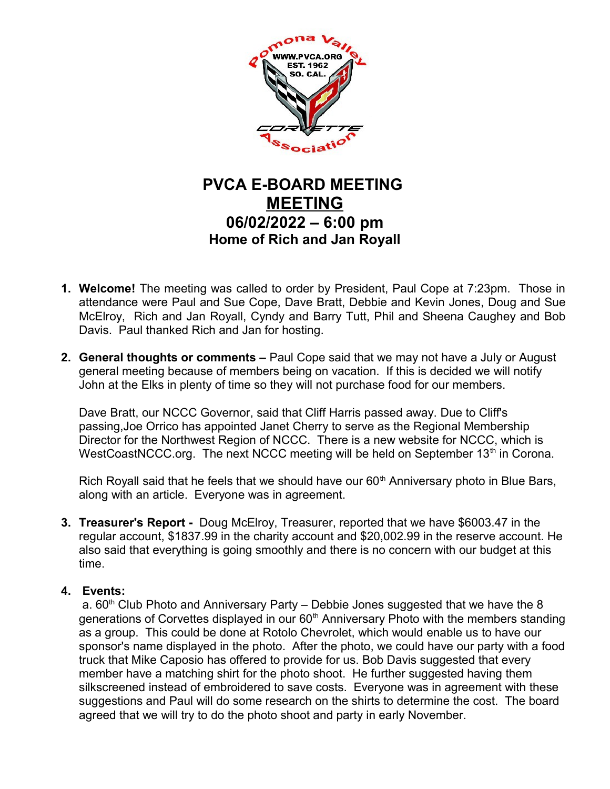

## **PVCA E-BOARD MEETING MEETING 06/02/2022 – 6:00 pm Home of Rich and Jan Royall**

- **1. Welcome!** The meeting was called to order by President, Paul Cope at 7:23pm. Those in attendance were Paul and Sue Cope, Dave Bratt, Debbie and Kevin Jones, Doug and Sue McElroy, Rich and Jan Royall, Cyndy and Barry Tutt, Phil and Sheena Caughey and Bob Davis. Paul thanked Rich and Jan for hosting.
- **2. General thoughts or comments** Paul Cope said that we may not have a July or August general meeting because of members being on vacation. If this is decided we will notify John at the Elks in plenty of time so they will not purchase food for our members.

Dave Bratt, our NCCC Governor, said that Cliff Harris passed away. Due to Cliff's passing,Joe Orrico has appointed Janet Cherry to serve as the Regional Membership Director for the Northwest Region of NCCC. There is a new website for NCCC, which is WestCoastNCCC.org. The next NCCC meeting will be held on September  $13<sup>th</sup>$  in Corona.

Rich Royall said that he feels that we should have our  $60<sup>th</sup>$  Anniversary photo in Blue Bars, along with an article. Everyone was in agreement.

**3. Treasurer's Report -** Doug McElroy, Treasurer, reported that we have \$6003.47 in the regular account, \$1837.99 in the charity account and \$20,002.99 in the reserve account. He also said that everything is going smoothly and there is no concern with our budget at this time.

## **4. Events:**

a.  $60<sup>th</sup>$  Club Photo and Anniversary Party – Debbie Jones suggested that we have the 8 generations of Corvettes displayed in our  $60<sup>th</sup>$  Anniversary Photo with the members standing as a group. This could be done at Rotolo Chevrolet, which would enable us to have our sponsor's name displayed in the photo. After the photo, we could have our party with a food truck that Mike Caposio has offered to provide for us. Bob Davis suggested that every member have a matching shirt for the photo shoot. He further suggested having them silkscreened instead of embroidered to save costs. Everyone was in agreement with these suggestions and Paul will do some research on the shirts to determine the cost. The board agreed that we will try to do the photo shoot and party in early November.